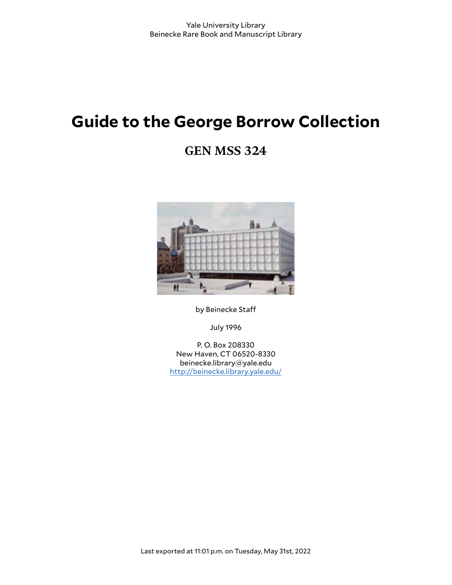# **Guide to the George Borrow Collection**

# **GEN MSS 324**



by Beinecke Staff

July 1996

P. O. Box 208330 New Haven, CT 06520-8330 beinecke.library@yale.edu <http://beinecke.library.yale.edu/>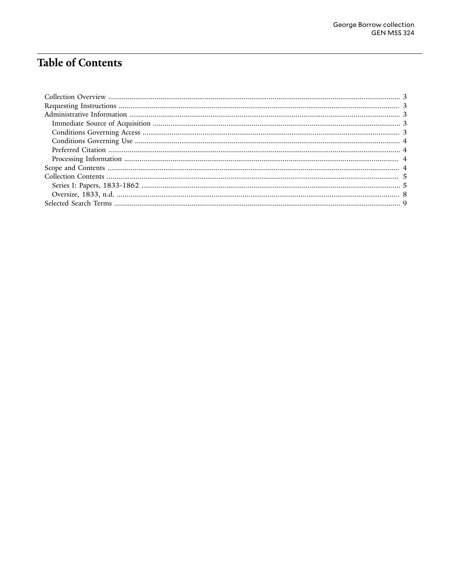# **Table of Contents**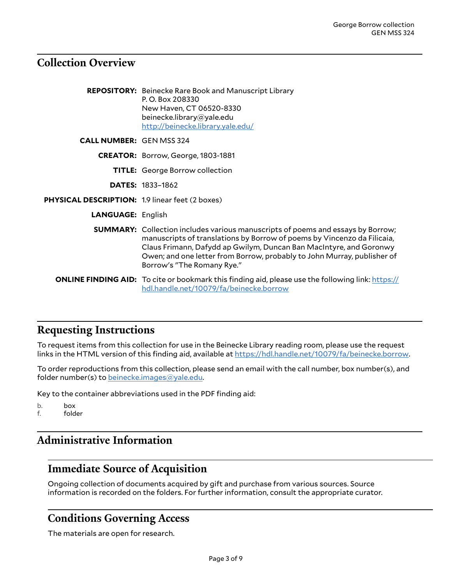#### <span id="page-2-0"></span>**Collection Overview**

|                                                        | <b>REPOSITORY:</b> Beinecke Rare Book and Manuscript Library<br>P.O. Box 208330<br>New Haven, CT 06520-8330<br>beinecke.library@yale.edu<br>http://beinecke.library.yale.edu/                                                                                                                                                                    |
|--------------------------------------------------------|--------------------------------------------------------------------------------------------------------------------------------------------------------------------------------------------------------------------------------------------------------------------------------------------------------------------------------------------------|
| <b>CALL NUMBER: GEN MSS 324</b>                        |                                                                                                                                                                                                                                                                                                                                                  |
|                                                        | CREATOR: Borrow, George, 1803-1881                                                                                                                                                                                                                                                                                                               |
|                                                        | <b>TITLE:</b> George Borrow collection                                                                                                                                                                                                                                                                                                           |
|                                                        | <b>DATES: 1833-1862</b>                                                                                                                                                                                                                                                                                                                          |
| <b>PHYSICAL DESCRIPTION: 1.9 linear feet (2 boxes)</b> |                                                                                                                                                                                                                                                                                                                                                  |
| <b>LANGUAGE: English</b>                               |                                                                                                                                                                                                                                                                                                                                                  |
|                                                        | <b>SUMMARY:</b> Collection includes various manuscripts of poems and essays by Borrow;<br>manuscripts of translations by Borrow of poems by Vincenzo da Filicaia,<br>Claus Frimann, Dafydd ap Gwilym, Duncan Ban MacIntyre, and Goronwy<br>Owen; and one letter from Borrow, probably to John Murray, publisher of<br>Borrow's "The Romany Rye." |
|                                                        | <b>ONLINE FINDING AID:</b> To cite or bookmark this finding aid, please use the following link: https://<br>hdl.handle.net/10079/fa/beinecke.borrow                                                                                                                                                                                              |

#### <span id="page-2-1"></span>**Requesting Instructions**

To request items from this collection for use in the Beinecke Library reading room, please use the request links in the HTML version of this finding aid, available at [https://hdl.handle.net/10079/fa/beinecke.borrow.](https://hdl.handle.net/10079/fa/beinecke.borrow)

To order reproductions from this collection, please send an email with the call number, box number(s), and folder number(s) to [beinecke.images@yale.edu.](mailto:beinecke.images@yale.edu)

Key to the container abbreviations used in the PDF finding aid:

b. box

f. folder

### <span id="page-2-2"></span>**Administrative Information**

### <span id="page-2-3"></span>**Immediate Source of Acquisition**

Ongoing collection of documents acquired by gift and purchase from various sources. Source information is recorded on the folders. For further information, consult the appropriate curator.

#### <span id="page-2-4"></span>**Conditions Governing Access**

The materials are open for research.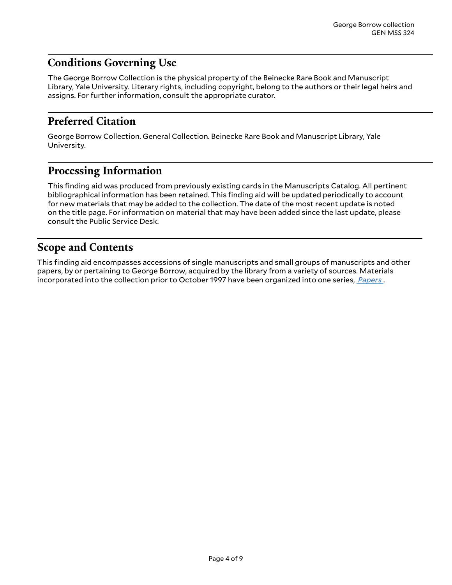## <span id="page-3-0"></span>**Conditions Governing Use**

The George Borrow Collection is the physical property of the Beinecke Rare Book and Manuscript Library, Yale University. Literary rights, including copyright, belong to the authors or their legal heirs and assigns. For further information, consult the appropriate curator.

### <span id="page-3-1"></span>**Preferred Citation**

George Borrow Collection. General Collection. Beinecke Rare Book and Manuscript Library, Yale University.

#### <span id="page-3-2"></span>**Processing Information**

This finding aid was produced from previously existing cards in the Manuscripts Catalog. All pertinent bibliographical information has been retained. This finding aid will be updated periodically to account for new materials that may be added to the collection. The date of the most recent update is noted on the title page. For information on material that may have been added since the last update, please consult the Public Service Desk.

### <span id="page-3-3"></span>**Scope and Contents**

This finding aid encompasses accessions of single manuscripts and small groups of manuscripts and other papers, by or pertaining to George Borrow, acquired by the library from a variety of sources. Materials incorporated into the collection prior to October 1997 have been organized into one series, *[Papers](#page-4-1)* .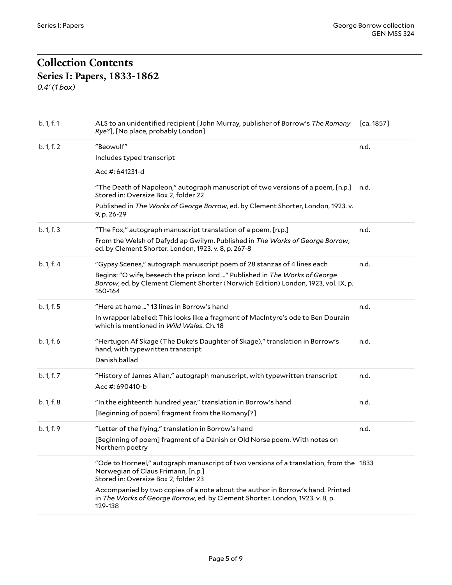#### <span id="page-4-1"></span><span id="page-4-0"></span>**Collection Contents Series I: Papers, 1833-1862** *0.4' (1 box)*

| b. 1, f. 1 | ALS to an unidentified recipient [John Murray, publisher of Borrow's The Romany<br>Rye?], [No place, probably London]                                                                                                                                   | [ca. 1857] |
|------------|---------------------------------------------------------------------------------------------------------------------------------------------------------------------------------------------------------------------------------------------------------|------------|
| b. 1, f. 2 | "Beowulf"<br>Includes typed transcript<br>Acc #: 641231-d                                                                                                                                                                                               | n.d.       |
|            | "The Death of Napoleon," autograph manuscript of two versions of a poem, [n.p.]<br>Stored in: Oversize Box 2, folder 22<br>Published in The Works of George Borrow, ed. by Clement Shorter, London, 1923. v.<br>9, p. 26-29                             | n.d.       |
| b. 1, f. 3 | "The Fox," autograph manuscript translation of a poem, [n.p.]<br>From the Welsh of Dafydd ap Gwilym. Published in The Works of George Borrow,<br>ed. by Clement Shorter. London, 1923. v. 8, p. 267-8                                                   | n.d.       |
| b. 1, f. 4 | "Gypsy Scenes," autograph manuscript poem of 28 stanzas of 4 lines each<br>Begins: "O wife, beseech the prison lord " Published in The Works of George<br>Borrow, ed. by Clement Clement Shorter (Norwich Edition) London, 1923, vol. IX, p.<br>160-164 | n.d.       |
| b. 1, f. 5 | "Here at hame " 13 lines in Borrow's hand<br>In wrapper labelled: This looks like a fragment of MacIntyre's ode to Ben Dourain<br>which is mentioned in Wild Wales. Ch. 18                                                                              | n.d.       |
| b. 1, f. 6 | "Hertugen Af Skage (The Duke's Daughter of Skage)," translation in Borrow's<br>hand, with typewritten transcript<br>Danish ballad                                                                                                                       | n.d.       |
| b. 1, f. 7 | "History of James Allan," autograph manuscript, with typewritten transcript<br>Acc #: 690410-b                                                                                                                                                          | n.d.       |
| b. 1, f. 8 | "In the eighteenth hundred year," translation in Borrow's hand<br>[Beginning of poem] fragment from the Romany[?]                                                                                                                                       | n.d.       |
| b. 1, f. 9 | "Letter of the flying," translation in Borrow's hand<br>[Beginning of poem] fragment of a Danish or Old Norse poem. With notes on<br>Northern poetry                                                                                                    | n.d.       |
|            | "Ode to Horneel," autograph manuscript of two versions of a translation, from the 1833<br>Norwegian of Claus Frimann, [n.p.]<br>Stored in: Oversize Box 2, folder 23                                                                                    |            |
|            | Accompanied by two copies of a note about the author in Borrow's hand. Printed<br>in The Works of George Borrow, ed. by Clement Shorter. London, 1923. v. 8, p.<br>129-138                                                                              |            |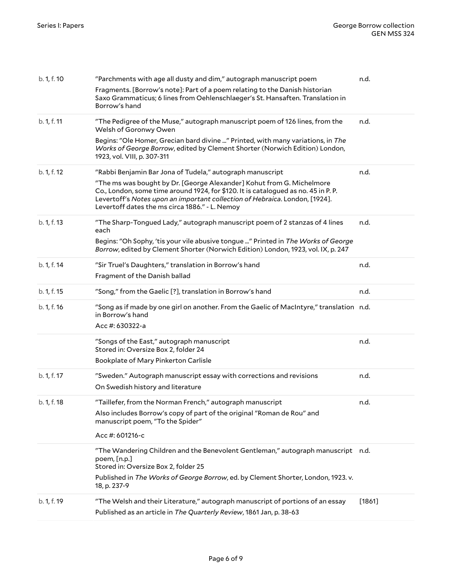| b. 1, f. 10 | "Parchments with age all dusty and dim," autograph manuscript poem                                                                                                                                                                                                                          | n.d.   |
|-------------|---------------------------------------------------------------------------------------------------------------------------------------------------------------------------------------------------------------------------------------------------------------------------------------------|--------|
|             | Fragments. [Borrow's note]: Part of a poem relating to the Danish historian<br>Saxo Grammaticus; 6 lines from Oehlenschlaeger's St. Hansaften. Translation in<br>Borrow's hand                                                                                                              |        |
| b. 1, f. 11 | "The Pedigree of the Muse," autograph manuscript poem of 126 lines, from the<br>Welsh of Goronwy Owen                                                                                                                                                                                       | n.d.   |
|             | Begins: "Ole Homer, Grecian bard divine " Printed, with many variations, in The<br>Works of George Borrow, edited by Clement Shorter (Norwich Edition) London,<br>1923, vol. VIII, p. 307-311                                                                                               |        |
| b. 1, f. 12 | "Rabbi Benjamin Bar Jona of Tudela," autograph manuscript                                                                                                                                                                                                                                   | n.d.   |
|             | "The ms was bought by Dr. [George Alexander] Kohut from G. Michelmore<br>Co., London, some time around 1924, for \$120. It is catalogued as no. 45 in P.P.<br>Levertoff's Notes upon an important collection of Hebraica. London, [1924].<br>Levertoff dates the ms circa 1886." - L. Nemoy |        |
| b. 1, f. 13 | "The Sharp-Tongued Lady," autograph manuscript poem of 2 stanzas of 4 lines<br>each                                                                                                                                                                                                         | n.d.   |
|             | Begins: "Oh Sophy, 'tis your vile abusive tongue " Printed in The Works of George<br>Borrow, edited by Clement Shorter (Norwich Edition) London, 1923, vol. IX, p. 247                                                                                                                      |        |
| b. 1, f. 14 | "Sir Truel's Daughters," translation in Borrow's hand                                                                                                                                                                                                                                       | n.d.   |
|             | Fragment of the Danish ballad                                                                                                                                                                                                                                                               |        |
| b. 1, f. 15 | "Song," from the Gaelic [?], translation in Borrow's hand                                                                                                                                                                                                                                   | n.d.   |
| b. 1, f. 16 | "Song as if made by one girl on another. From the Gaelic of MacIntyre," translation n.d.<br>in Borrow's hand                                                                                                                                                                                |        |
|             | Acc #: 630322-a                                                                                                                                                                                                                                                                             |        |
|             | "Songs of the East," autograph manuscript<br>Stored in: Oversize Box 2, folder 24                                                                                                                                                                                                           | n.d.   |
|             | Bookplate of Mary Pinkerton Carlisle                                                                                                                                                                                                                                                        |        |
| b. 1, f. 17 | "Sweden." Autograph manuscript essay with corrections and revisions<br>On Swedish history and literature                                                                                                                                                                                    | n.d.   |
| b. 1, f. 18 | "Taillefer, from the Norman French," autograph manuscript<br>Also includes Borrow's copy of part of the original "Roman de Rou" and<br>manuscript poem, "To the Spider"                                                                                                                     | n.d.   |
|             | Acc #: 601216-c                                                                                                                                                                                                                                                                             |        |
|             | "The Wandering Children and the Benevolent Gentleman," autograph manuscript n.d.<br>$p$ oem, $[n.p.]$<br>Stored in: Oversize Box 2, folder 25<br>Published in The Works of George Borrow, ed. by Clement Shorter, London, 1923. v.<br>18, p. 237-9                                          |        |
|             |                                                                                                                                                                                                                                                                                             |        |
| b. 1, f. 19 | "The Welsh and their Literature," autograph manuscript of portions of an essay<br>Published as an article in The Quarterly Review, 1861 Jan, p. 38-63                                                                                                                                       | [1861] |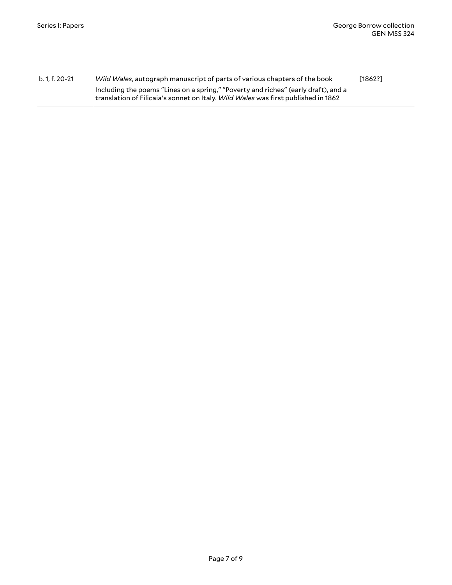b. 1, f. 20-21 *Wild Wales*, autograph manuscript of parts of various chapters of the book Including the poems "Lines on a spring," "Poverty and riches" (early draft), and a translation of Filicaia's sonnet on Italy. *Wild Wales* was first published in 1862 [1862?]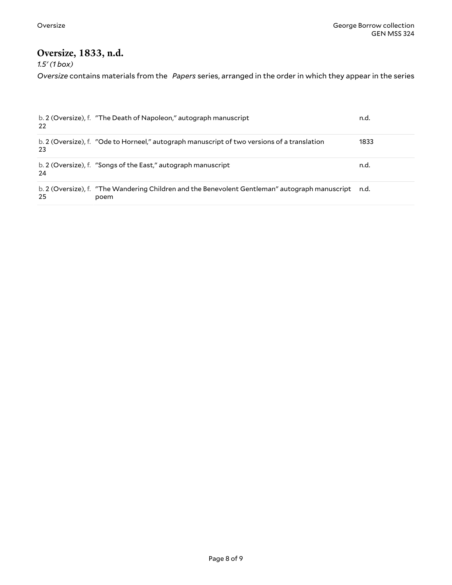#### <span id="page-7-0"></span>**Oversize, 1833, n.d.**

*1.5' (1 box)*

*Oversize* contains materials from the *Papers* series, arranged in the order in which they appear in the series

| 22 | b. 2 (Oversize), f. "The Death of Napoleon," autograph manuscript                                           | n.d. |
|----|-------------------------------------------------------------------------------------------------------------|------|
| 23 | b. 2 (Oversize), f. "Ode to Horneel," autograph manuscript of two versions of a translation                 | 1833 |
| 24 | b. 2 (Oversize), f. "Songs of the East," autograph manuscript                                               | n.d. |
| 25 | b. 2 (Oversize), f. "The Wandering Children and the Benevolent Gentleman" autograph manuscript n.d.<br>poem |      |